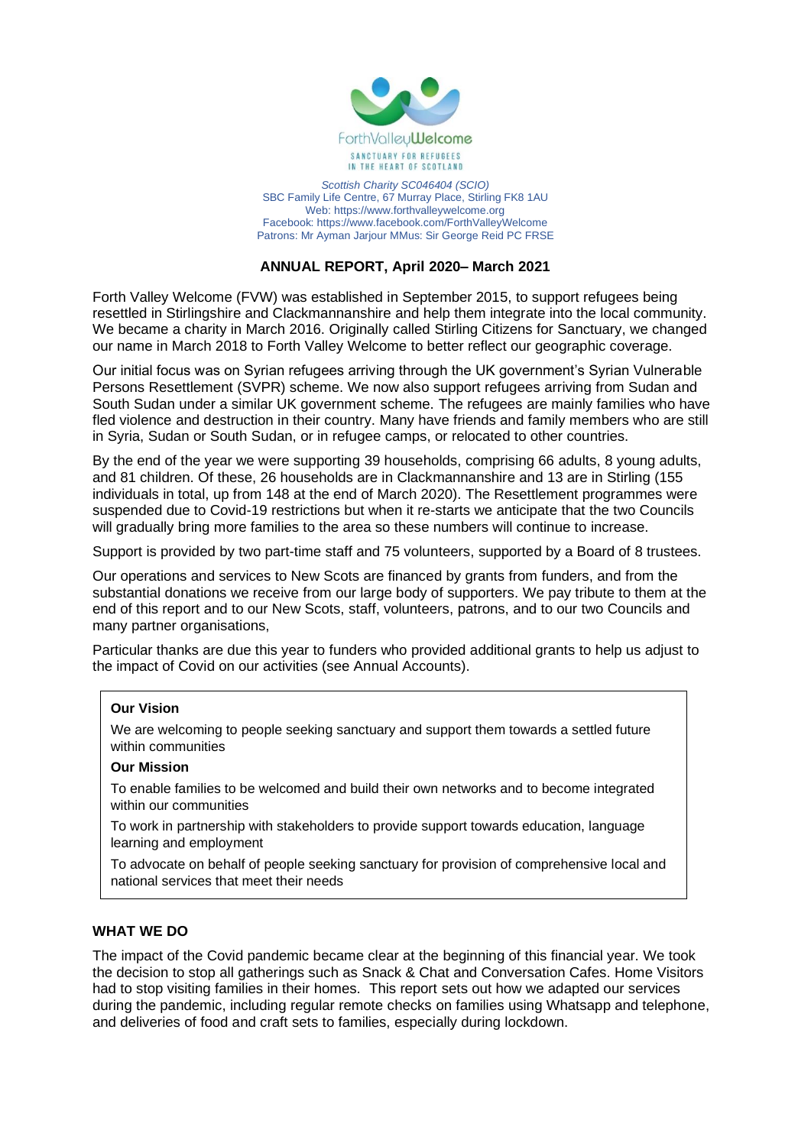

*Scottish Charity SC046404 (SCIO)* SBC Family Life Centre, 67 Murray Place, Stirling FK8 1AU Web: https://www.forthvalleywelcome.org Facebook: https://www.facebook.com/ForthValleyWelcome Patrons: Mr Ayman Jarjour MMus: Sir George Reid PC FRSE

# **ANNUAL REPORT, April 2020– March 2021**

Forth Valley Welcome (FVW) was established in September 2015, to support refugees being resettled in Stirlingshire and Clackmannanshire and help them integrate into the local community. We became a charity in March 2016. Originally called Stirling Citizens for Sanctuary, we changed our name in March 2018 to Forth Valley Welcome to better reflect our geographic coverage.

Our initial focus was on Syrian refugees arriving through the UK government's Syrian Vulnerable Persons Resettlement (SVPR) scheme. We now also support refugees arriving from Sudan and South Sudan under a similar UK government scheme. The refugees are mainly families who have fled violence and destruction in their country. Many have friends and family members who are still in Syria, Sudan or South Sudan, or in refugee camps, or relocated to other countries.

By the end of the year we were supporting 39 households, comprising 66 adults, 8 young adults, and 81 children. Of these, 26 households are in Clackmannanshire and 13 are in Stirling (155 individuals in total, up from 148 at the end of March 2020). The Resettlement programmes were suspended due to Covid-19 restrictions but when it re-starts we anticipate that the two Councils will gradually bring more families to the area so these numbers will continue to increase.

Support is provided by two part-time staff and 75 volunteers, supported by a Board of 8 trustees.

Our operations and services to New Scots are financed by grants from funders, and from the substantial donations we receive from our large body of supporters. We pay tribute to them at the end of this report and to our New Scots, staff, volunteers, patrons, and to our two Councils and many partner organisations,

Particular thanks are due this year to funders who provided additional grants to help us adjust to the impact of Covid on our activities (see Annual Accounts).

## **Our Vision**

We are welcoming to people seeking sanctuary and support them towards a settled future within communities

## **Our Mission**

To enable families to be welcomed and build their own networks and to become integrated within our communities

To work in partnership with stakeholders to provide support towards education, language learning and employment

To advocate on behalf of people seeking sanctuary for provision of comprehensive local and national services that meet their needs

## **WHAT WE DO**

The impact of the Covid pandemic became clear at the beginning of this financial year. We took the decision to stop all gatherings such as Snack & Chat and Conversation Cafes. Home Visitors had to stop visiting families in their homes. This report sets out how we adapted our services during the pandemic, including regular remote checks on families using Whatsapp and telephone, and deliveries of food and craft sets to families, especially during lockdown.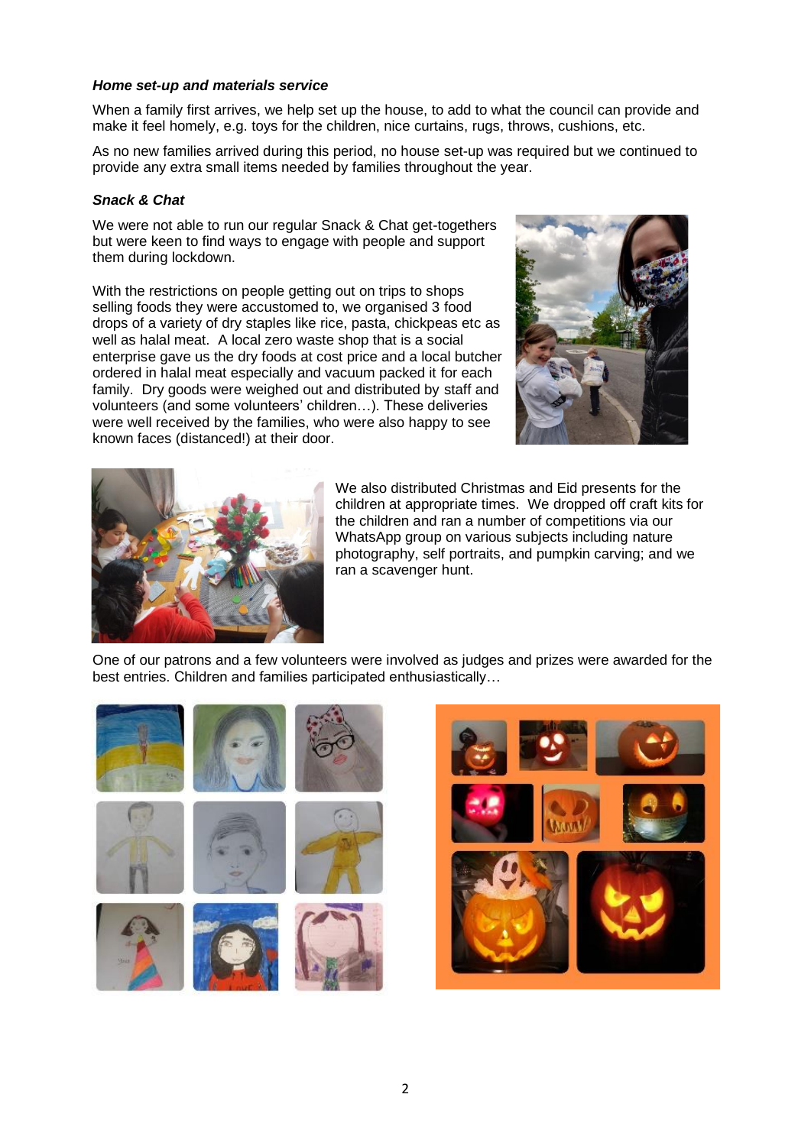## *Home set-up and materials service*

When a family first arrives, we help set up the house, to add to what the council can provide and make it feel homely, e.g. toys for the children, nice curtains, rugs, throws, cushions, etc.

As no new families arrived during this period, no house set-up was required but we continued to provide any extra small items needed by families throughout the year.

## *Snack & Chat*

We were not able to run our regular Snack & Chat get-togethers but were keen to find ways to engage with people and support them during lockdown.

With the restrictions on people getting out on trips to shops selling foods they were accustomed to, we organised 3 food drops of a variety of dry staples like rice, pasta, chickpeas etc as well as halal meat. A local zero waste shop that is a social enterprise gave us the dry foods at cost price and a local butcher ordered in halal meat especially and vacuum packed it for each family. Dry goods were weighed out and distributed by staff and volunteers (and some volunteers' children…). These deliveries were well received by the families, who were also happy to see known faces (distanced!) at their door.





We also distributed Christmas and Eid presents for the children at appropriate times. We dropped off craft kits for the children and ran a number of competitions via our WhatsApp group on various subjects including nature photography, self portraits, and pumpkin carving; and we ran a scavenger hunt.

One of our patrons and a few volunteers were involved as judges and prizes were awarded for the best entries. Children and families participated enthusiastically…



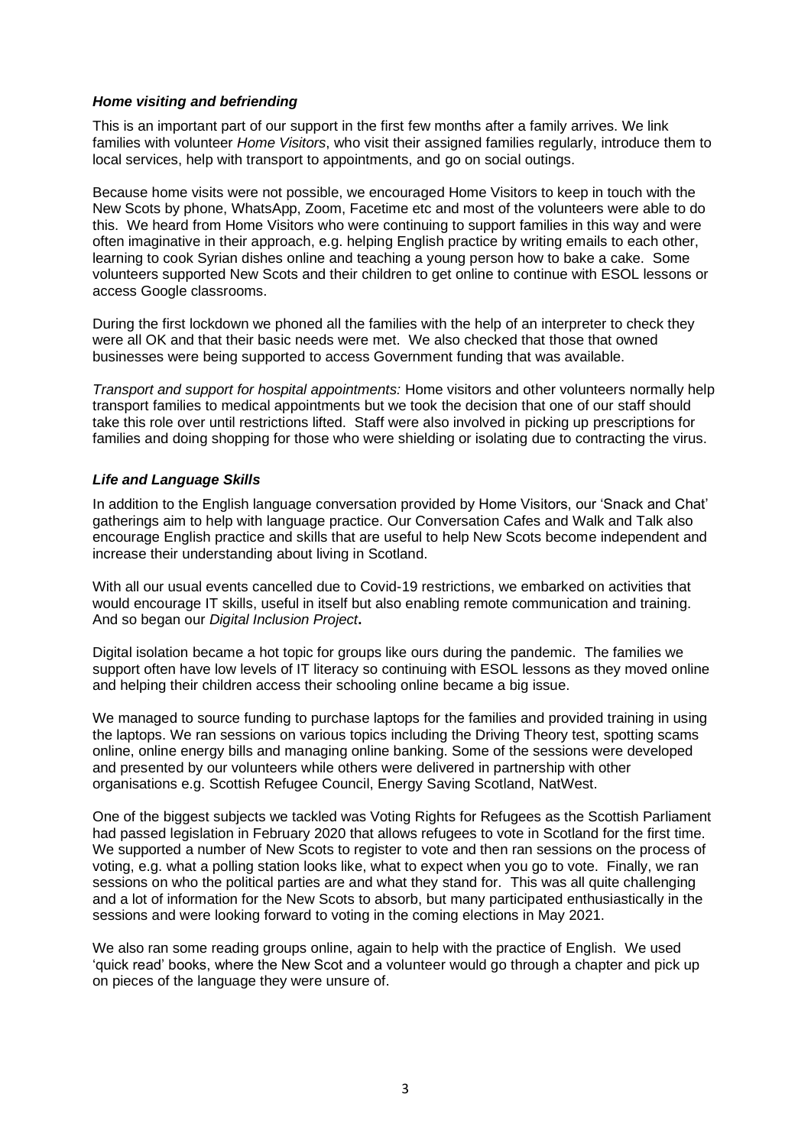## *Home visiting and befriending*

This is an important part of our support in the first few months after a family arrives. We link families with volunteer *Home Visitors*, who visit their assigned families regularly, introduce them to local services, help with transport to appointments, and go on social outings.

Because home visits were not possible, we encouraged Home Visitors to keep in touch with the New Scots by phone, WhatsApp, Zoom, Facetime etc and most of the volunteers were able to do this. We heard from Home Visitors who were continuing to support families in this way and were often imaginative in their approach, e.g. helping English practice by writing emails to each other, learning to cook Syrian dishes online and teaching a young person how to bake a cake. Some volunteers supported New Scots and their children to get online to continue with ESOL lessons or access Google classrooms.

During the first lockdown we phoned all the families with the help of an interpreter to check they were all OK and that their basic needs were met. We also checked that those that owned businesses were being supported to access Government funding that was available.

*Transport and support for hospital appointments:* Home visitors and other volunteers normally help transport families to medical appointments but we took the decision that one of our staff should take this role over until restrictions lifted. Staff were also involved in picking up prescriptions for families and doing shopping for those who were shielding or isolating due to contracting the virus.

## *Life and Language Skills*

In addition to the English language conversation provided by Home Visitors, our 'Snack and Chat' gatherings aim to help with language practice. Our Conversation Cafes and Walk and Talk also encourage English practice and skills that are useful to help New Scots become independent and increase their understanding about living in Scotland.

With all our usual events cancelled due to Covid-19 restrictions, we embarked on activities that would encourage IT skills, useful in itself but also enabling remote communication and training. And so began our *Digital Inclusion Project***.**

Digital isolation became a hot topic for groups like ours during the pandemic. The families we support often have low levels of IT literacy so continuing with ESOL lessons as they moved online and helping their children access their schooling online became a big issue.

We managed to source funding to purchase laptops for the families and provided training in using the laptops. We ran sessions on various topics including the Driving Theory test, spotting scams online, online energy bills and managing online banking. Some of the sessions were developed and presented by our volunteers while others were delivered in partnership with other organisations e.g. Scottish Refugee Council, Energy Saving Scotland, NatWest.

One of the biggest subjects we tackled was Voting Rights for Refugees as the Scottish Parliament had passed legislation in February 2020 that allows refugees to vote in Scotland for the first time. We supported a number of New Scots to register to vote and then ran sessions on the process of voting, e.g. what a polling station looks like, what to expect when you go to vote. Finally, we ran sessions on who the political parties are and what they stand for. This was all quite challenging and a lot of information for the New Scots to absorb, but many participated enthusiastically in the sessions and were looking forward to voting in the coming elections in May 2021.

We also ran some reading groups online, again to help with the practice of English. We used 'quick read' books, where the New Scot and a volunteer would go through a chapter and pick up on pieces of the language they were unsure of.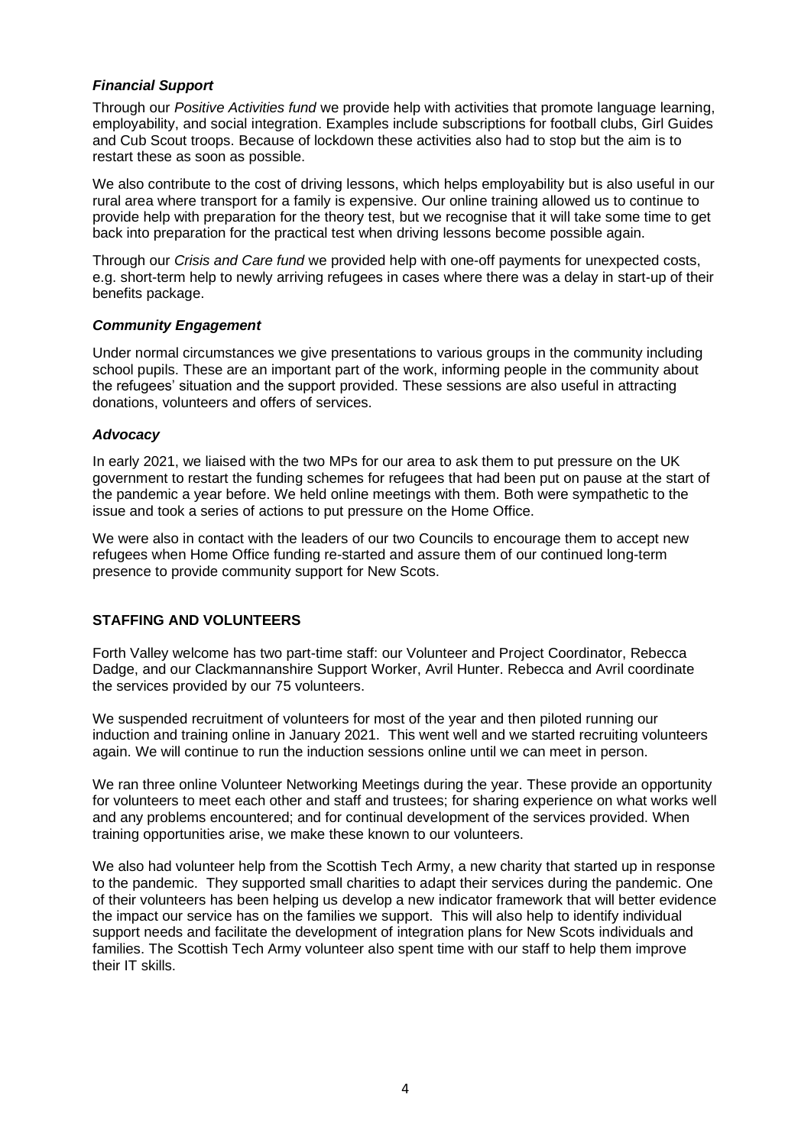## *Financial Support*

Through our *Positive Activities fund* we provide help with activities that promote language learning, employability, and social integration. Examples include subscriptions for football clubs, Girl Guides and Cub Scout troops. Because of lockdown these activities also had to stop but the aim is to restart these as soon as possible.

We also contribute to the cost of driving lessons, which helps employability but is also useful in our rural area where transport for a family is expensive. Our online training allowed us to continue to provide help with preparation for the theory test, but we recognise that it will take some time to get back into preparation for the practical test when driving lessons become possible again.

Through our *Crisis and Care fund* we provided help with one-off payments for unexpected costs, e.g. short-term help to newly arriving refugees in cases where there was a delay in start-up of their benefits package.

## *Community Engagement*

Under normal circumstances we give presentations to various groups in the community including school pupils. These are an important part of the work, informing people in the community about the refugees' situation and the support provided. These sessions are also useful in attracting donations, volunteers and offers of services.

### *Advocacy*

In early 2021, we liaised with the two MPs for our area to ask them to put pressure on the UK government to restart the funding schemes for refugees that had been put on pause at the start of the pandemic a year before. We held online meetings with them. Both were sympathetic to the issue and took a series of actions to put pressure on the Home Office.

We were also in contact with the leaders of our two Councils to encourage them to accept new refugees when Home Office funding re-started and assure them of our continued long-term presence to provide community support for New Scots.

## **STAFFING AND VOLUNTEERS**

Forth Valley welcome has two part-time staff: our Volunteer and Project Coordinator, Rebecca Dadge, and our Clackmannanshire Support Worker, Avril Hunter. Rebecca and Avril coordinate the services provided by our 75 volunteers.

We suspended recruitment of volunteers for most of the year and then piloted running our induction and training online in January 2021. This went well and we started recruiting volunteers again. We will continue to run the induction sessions online until we can meet in person.

We ran three online Volunteer Networking Meetings during the year. These provide an opportunity for volunteers to meet each other and staff and trustees; for sharing experience on what works well and any problems encountered; and for continual development of the services provided. When training opportunities arise, we make these known to our volunteers.

We also had volunteer help from the Scottish Tech Army, a new charity that started up in response to the pandemic. They supported small charities to adapt their services during the pandemic. One of their volunteers has been helping us develop a new indicator framework that will better evidence the impact our service has on the families we support. This will also help to identify individual support needs and facilitate the development of integration plans for New Scots individuals and families. The Scottish Tech Army volunteer also spent time with our staff to help them improve their IT skills.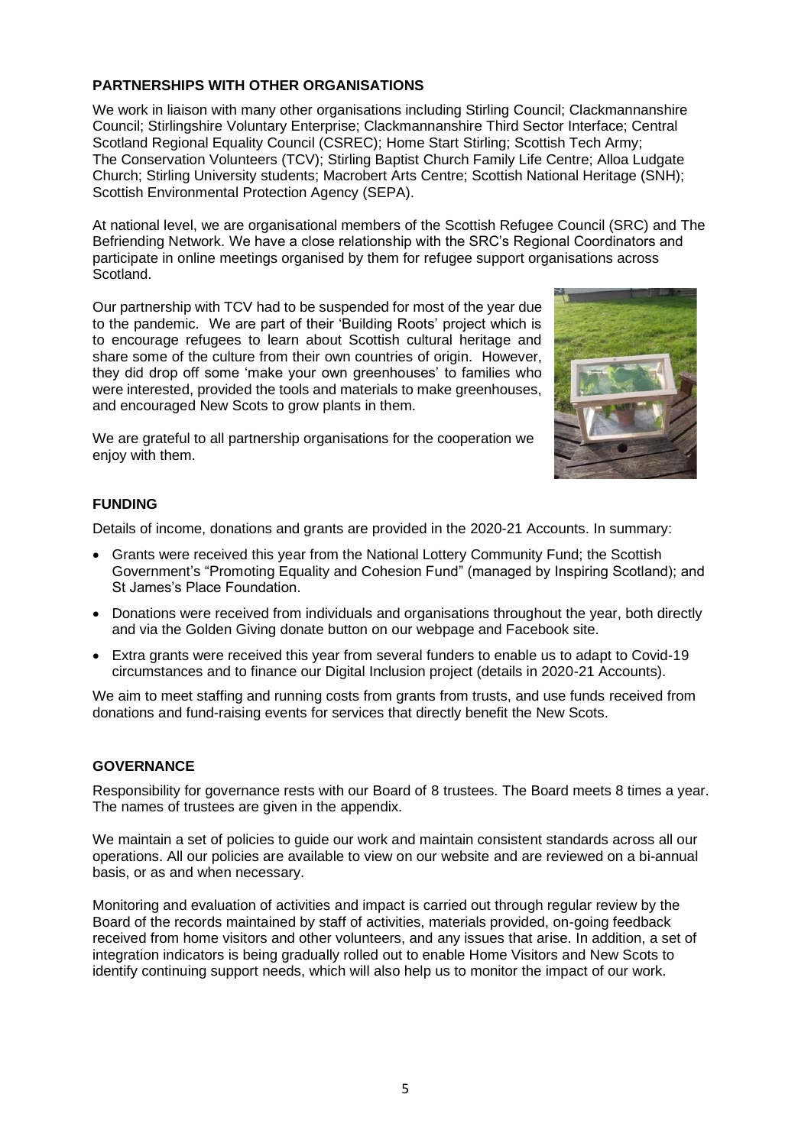## **PARTNERSHIPS WITH OTHER ORGANISATIONS**

We work in liaison with many other organisations including Stirling Council; Clackmannanshire Council; Stirlingshire Voluntary Enterprise; Clackmannanshire Third Sector Interface; Central Scotland Regional Equality Council (CSREC); Home Start Stirling; Scottish Tech Army; The Conservation Volunteers (TCV); Stirling Baptist Church Family Life Centre; Alloa Ludgate Church; Stirling University students; Macrobert Arts Centre; Scottish National Heritage (SNH); Scottish Environmental Protection Agency (SEPA).

At national level, we are organisational members of the Scottish Refugee Council (SRC) and The Befriending Network. We have a close relationship with the SRC's Regional Coordinators and participate in online meetings organised by them for refugee support organisations across Scotland.

Our partnership with TCV had to be suspended for most of the year due to the pandemic. We are part of their 'Building Roots' project which is to encourage refugees to learn about Scottish cultural heritage and share some of the culture from their own countries of origin. However, they did drop off some 'make your own greenhouses' to families who were interested, provided the tools and materials to make greenhouses, and encouraged New Scots to grow plants in them.



We are grateful to all partnership organisations for the cooperation we enjoy with them.

# **FUNDING**

Details of income, donations and grants are provided in the 2020-21 Accounts. In summary:

- Grants were received this year from the National Lottery Community Fund; the Scottish Government's "Promoting Equality and Cohesion Fund" (managed by Inspiring Scotland); and St James's Place Foundation.
- Donations were received from individuals and organisations throughout the year, both directly and via the Golden Giving donate button on our webpage and Facebook site.
- Extra grants were received this year from several funders to enable us to adapt to Covid-19 circumstances and to finance our Digital Inclusion project (details in 2020-21 Accounts).

We aim to meet staffing and running costs from grants from trusts, and use funds received from donations and fund-raising events for services that directly benefit the New Scots.

# **GOVERNANCE**

Responsibility for governance rests with our Board of 8 trustees. The Board meets 8 times a year. The names of trustees are given in the appendix.

We maintain a set of policies to guide our work and maintain consistent standards across all our operations. All our policies are available to view on our website and are reviewed on a bi-annual basis, or as and when necessary.

Monitoring and evaluation of activities and impact is carried out through regular review by the Board of the records maintained by staff of activities, materials provided, on-going feedback received from home visitors and other volunteers, and any issues that arise. In addition, a set of integration indicators is being gradually rolled out to enable Home Visitors and New Scots to identify continuing support needs, which will also help us to monitor the impact of our work.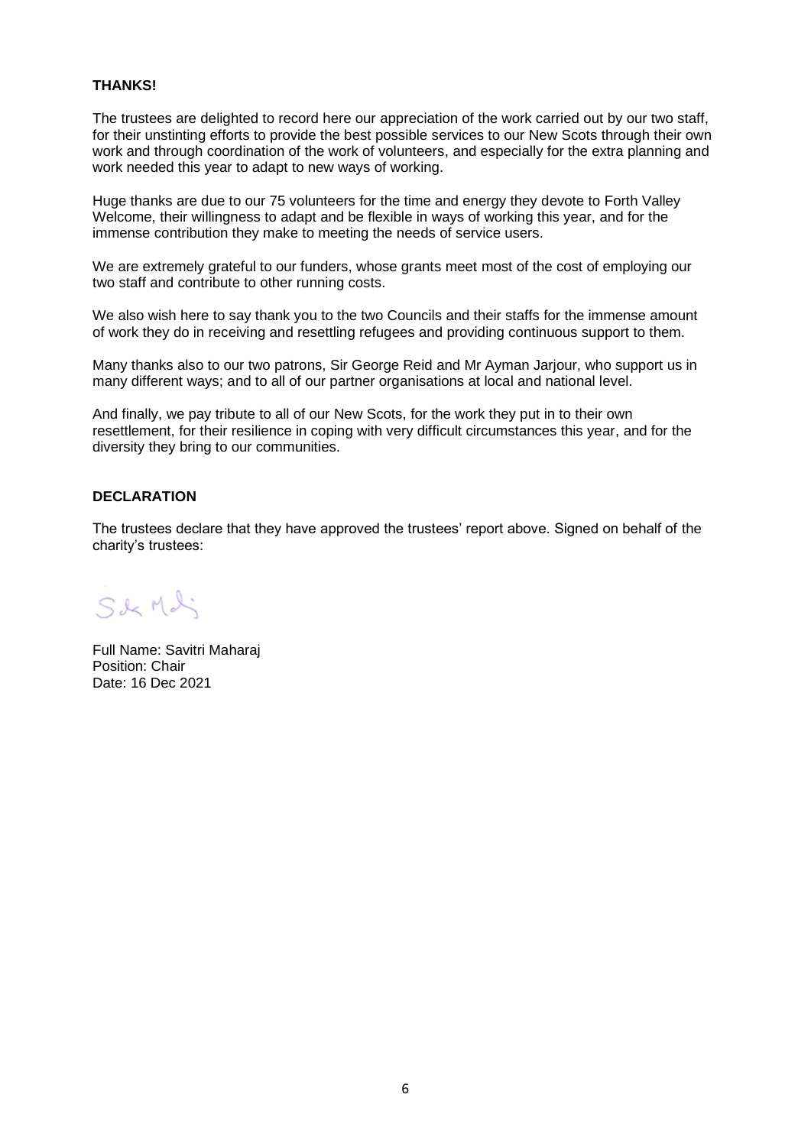### **THANKS!**

The trustees are delighted to record here our appreciation of the work carried out by our two staff, for their unstinting efforts to provide the best possible services to our New Scots through their own work and through coordination of the work of volunteers, and especially for the extra planning and work needed this year to adapt to new ways of working.

Huge thanks are due to our 75 volunteers for the time and energy they devote to Forth Valley Welcome, their willingness to adapt and be flexible in ways of working this year, and for the immense contribution they make to meeting the needs of service users.

We are extremely grateful to our funders, whose grants meet most of the cost of employing our two staff and contribute to other running costs.

We also wish here to say thank you to the two Councils and their staffs for the immense amount of work they do in receiving and resettling refugees and providing continuous support to them.

Many thanks also to our two patrons, Sir George Reid and Mr Ayman Jarjour, who support us in many different ways; and to all of our partner organisations at local and national level.

And finally, we pay tribute to all of our New Scots, for the work they put in to their own resettlement, for their resilience in coping with very difficult circumstances this year, and for the diversity they bring to our communities.

### **DECLARATION**

The trustees declare that they have approved the trustees' report above. Signed on behalf of the charity's trustees:

S&MI

Full Name: Savitri Maharaj Position: Chair Date: 16 Dec 2021